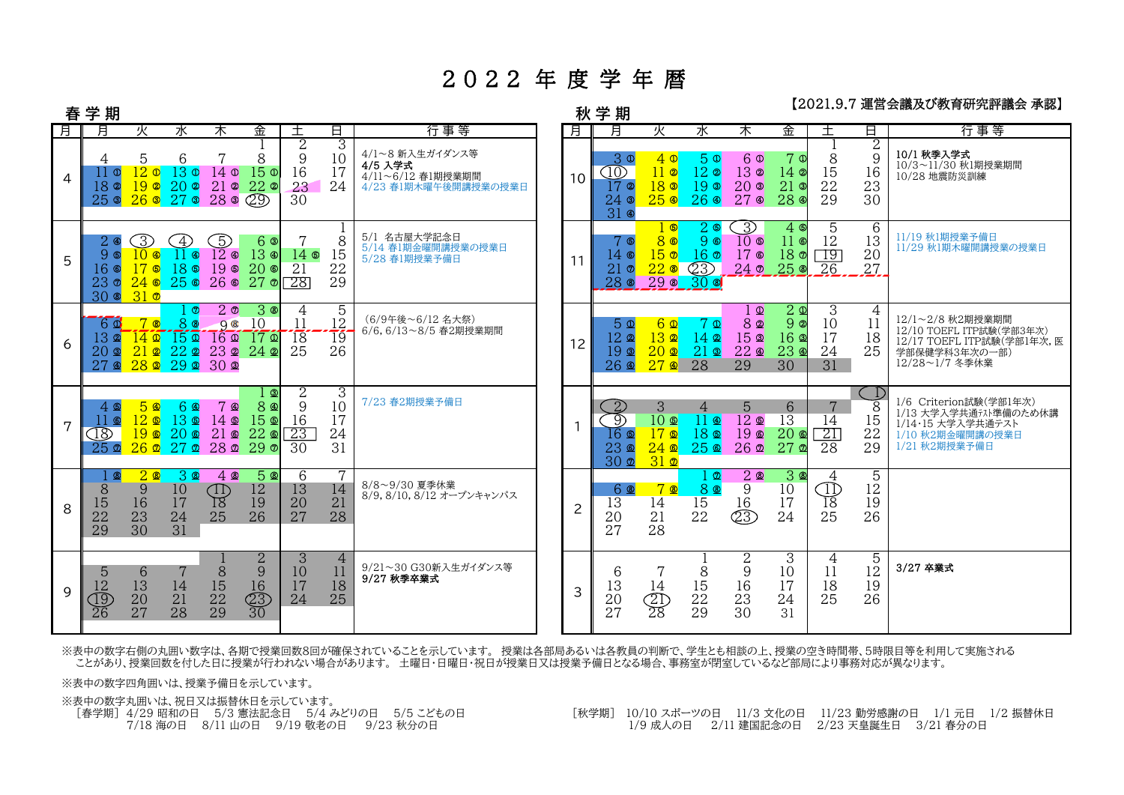## 2022 年 度 学 年 暦

## 【2021.9.7 運営会議及び教育研究評議会 承認】

|   | 春 学 期                                                                       |                                                         |                                                            |                                                                                              |                                                                  |                                                    |                                             |                                                                         |  | 学 期<br>秋        |                                                                       |                                                                             |                                                                |                                                             | /生日 ム城※> マヘ Fマ พニンแบ่ ៲ねム クデルルタ』                                                          |                                        |                                       |                                                                                                               |  |  |  |
|---|-----------------------------------------------------------------------------|---------------------------------------------------------|------------------------------------------------------------|----------------------------------------------------------------------------------------------|------------------------------------------------------------------|----------------------------------------------------|---------------------------------------------|-------------------------------------------------------------------------|--|-----------------|-----------------------------------------------------------------------|-----------------------------------------------------------------------------|----------------------------------------------------------------|-------------------------------------------------------------|-------------------------------------------------------------------------------------------|----------------------------------------|---------------------------------------|---------------------------------------------------------------------------------------------------------------|--|--|--|
| 月 | 月                                                                           | 火                                                       | 水                                                          | 木                                                                                            | 金                                                                | $^{+}$                                             | 8.                                          | 行事等                                                                     |  | 月               | 月                                                                     | 火                                                                           | 水                                                              | 木                                                           | 金                                                                                         | $^+$                                   | В.                                    | 行事等                                                                                                           |  |  |  |
| 4 | 4<br>'   0<br>18 <sup>°</sup><br>$25$ 3                                     | 5<br>12 <sub>o</sub><br>19 <sup>°</sup><br>$26$ 3       | 6<br>13 <sub>o</sub><br>20 <sub>o</sub><br>27 <sub>o</sub> | 7<br>14 <sub>o</sub><br>$21$ $\circ$<br>28 <sub>0</sub>                                      | 8<br>15 <sup>0</sup><br>$22$ $\circ$<br>$\overline{29}$          | $\overline{2}$<br>9<br>16<br>23<br>30              | 3<br>10<br>17<br>24                         | 4/1~8 新入生ガイダンス等<br>4/5 入学式<br>4/11~6/12 春1期授業期間<br>4/23 春1期木曜午後開講授業の授業日 |  | 10              | 3 <sup>o</sup><br>10)<br>$17$ $\circ$<br>$24$ $\circ$<br>$31$ $\circ$ | 40<br>11 <sub>o</sub><br>18 <sup>o</sup><br>25 <sub>®</sub>                 | 5 <sup>0</sup><br>$12$ @<br>19 <sup>o</sup><br>26 <sup>°</sup> | 60<br>13 <sub>o</sub><br>20 <sub>o</sub><br>27 <sub>0</sub> | 7 <sub>0</sub><br>$14$ ©<br>21<br>$\circledcirc$<br>28 <sub>®</sub>                       | 8<br>15<br>22<br>29                    | $\overline{2}$<br>9<br>16<br>23<br>30 | 10/1 秋季入学式<br>10/3~11/30 秋1期授業期間<br>10/28 地震防災訓練                                                              |  |  |  |
| 5 | $2 \circledast$<br>90<br>$16$ $\circ$<br>23 <sub>0</sub><br>30 <sub>®</sub> | 3<br>$10 \circ$<br>$17$ 6<br>$24$ ©<br>31 <sub>0</sub>  | $\Delta$<br>$11 \circledcirc$<br>18 ®<br>25 <sup>°</sup>   | $\mathbb{S}$<br>$12 \, \circledcirc$<br>19 <sup>°</sup>                                      | 6 ®<br>$13 \circ$<br>20 <sup>°</sup><br>$26 \circ 27 \circ$      | 7<br>$14$ ®<br>$\overline{21}$<br>28               | 8<br>15<br>22<br>29                         | 5/1 名古屋大学記念日<br>5/14 春1期金曜開講授業の授業日<br>5/28 春1期授業予備日                     |  | 11              | 7 ®<br>$14$ ©<br>$21 \circ$<br>28 <sup>®</sup>                        | <u>ෙ</u><br>80<br>15 <sub>o</sub><br>22 <sub>®</sub><br>290 300             | $2$ ©<br>9 ®<br>16 <sup>o</sup><br>$\circled{2}$               | 3)<br>10 <sub>o</sub><br>17 <sup>°</sup><br>24 <sub>0</sub> | 4 <sup>6</sup><br>$11$ ©<br>18 <sub>0</sub><br>25 <sub>®</sub>                            | 5<br>12<br>$\Box$ 9<br>- 26            | 6<br>13<br>20<br>27                   | 11/19 秋1期授業予備日<br>11/29 秋1期木曜開講授業の授業日                                                                         |  |  |  |
| 6 | 60<br>$13$ 2<br>$20$ മ<br>27 <sub>2</sub>                                   | $7$ ®<br>$14$ $\Omega$<br>$21$ $2$<br>$28$ $\Omega$     | $\circ$<br>88<br>150<br>22a<br>$29$ $\Omega$               | 2 <sub>0</sub><br>98<br>$\overline{16}$ $\overline{2}$<br>23 <sub>2</sub><br>30 <sub>2</sub> | 30<br>10<br>170<br>$24$ 2                                        | 4<br>11<br><sup>18</sup><br>25                     | 5<br>12<br>$\overline{1}\overline{9}$<br>26 | (6/9午後~6/12名大祭)<br>6/6,6/13~8/5 春2期授業期間                                 |  | 12 <sup>°</sup> | $5 \Omega$<br>$12$ @<br>$19$ $\Omega$<br>$26 \, \Omega$               | $6\Omega$<br>13 <sub>2</sub><br>20 <sub>2</sub><br>27 <sup>2</sup>          | 7 Q<br>14 <sub>2</sub><br>$21$ $\Omega$<br>28                  | $1 \Omega$<br>82<br>15 <sub>0</sub><br>$22 \, \Omega$<br>29 | $\overline{2}$ $\overline{2}$<br>9 <sup>°</sup><br>$16$ $\Omega$<br>23 <sub>0</sub><br>30 | $\overline{3}$<br>10<br>17<br>24<br>31 | 4<br>11<br>18<br>25                   | 12/1~2/8 秋2期授業期間<br>12/10 TOEFL ITP試験(学部3年次)<br>12/17 TOEFL ITP試験(学部1年次, 医<br>学部保健学科3年次の一部)<br>12/28~1/7 冬季休業 |  |  |  |
| 7 | 4 ®<br>66<br>$\overline{18}$<br>25 <sub>2</sub>                             | 50<br>12 <sub>0</sub><br>$19$ $\Omega$<br>$26$ $\Omega$ | 6 Q<br>13 ®<br>20 <sub>0</sub><br>27 <sub>2</sub>          | 7<br>$\circledcirc$<br>$14$ $\Omega$<br>$21 \circledcirc$                                    | ூ<br>8 <b>4</b><br>15 <sup>°</sup><br>22 <sub>0</sub><br>2802290 | $\overline{2}$<br>9<br>16<br>$\overline{23}$<br>30 | 3<br>10<br>17<br>24<br>31                   | 7/23 春2期授業予備日                                                           |  | 1               | $\mathbf{2}$<br>D<br>$16$ ®<br>23 ®<br>30 <sub>2</sub>                | 3<br>10 <sub>2</sub><br>17 <sub>®</sub><br>$24$ $\Omega$<br>31 <sub>2</sub> | 4<br>11 Q<br>18 ®<br>25 <sub>®</sub>                           | 5.<br>$12 \triangle$<br>19 <sup>°</sup><br>$26$ $\Phi$      | 6<br>$\overline{13}$<br>20 <sub>0</sub><br>27 <sub>0</sub>                                | 7<br>14<br>$\overline{21}$<br>28       | $\frac{1}{8}$<br>15<br>22<br>29       | 1/6 Criterion試験(学部1年次)<br>1/13 大学入学共通テスト準備のため休講<br>1/14・15 大学入学共通テスト<br>1/10 秋2期金曜開講の授業日<br>1/21 秋2期授業予備日     |  |  |  |
| 8 | - ශ<br>8<br>15<br>22<br>29                                                  | 20<br>9<br>16<br>23<br>30                               | $3$ ®<br>10<br>17<br>24<br>31                              | 40<br>$\bigoplus_{18}$<br>25                                                                 | 5 ®<br>12<br>19<br>26                                            | 6<br>13<br>20<br>27                                | 14<br>21<br>28                              | 8/8~9/30 夏季休業<br>8/9, 8/10, 8/12 オープンキャンパス                              |  | $\overline{c}$  | 6 ®<br>13<br>20<br>27                                                 | 7 ®<br>14<br>21<br>28                                                       | $\circ$<br>8 ®<br>15<br>22                                     | 2 <sup>0</sup><br>9<br>16<br>$\widehat{\text{23}}$          | 3<br>ම<br>10<br>17<br>24                                                                  | 4<br>$\bigoplus_{18}$<br>25            | 5<br>12<br>19<br>26                   |                                                                                                               |  |  |  |
| 9 | 5<br>12<br>19<br>$\overline{26}$                                            | 6<br>13<br>$20\,$<br>27                                 | 14<br>21<br>28                                             | $8\,$<br>15<br>22<br>29                                                                      | $\overline{2}$<br>9<br>16<br>$\frac{23}{30}$                     | $\overline{3}$<br>10<br>17<br>24                   | 4<br>11<br>18<br>25                         | 9/21~30 G30新入生ガイダンス等<br>9/27 秋季卒業式                                      |  | 3               | 6<br>13<br>20<br>27                                                   | 14<br>$\frac{21}{28}$                                                       | 8<br>15<br>22<br>29                                            | 2<br>9<br>16<br>23<br>30                                    | 3<br>10<br>17<br>24<br>31                                                                 | 4<br>11<br>18<br>25                    | 5<br>12<br>19<br>26                   | 3/27 卒業式                                                                                                      |  |  |  |

 ※表中の数字右側の丸囲い数字は、各期で授業回数8回が確保されていることを示しています。 授業は各部局あるいは各教員の判断で、学生とも相談の上、授業の空き時間帯、5時限目等を利用して実施される ことがあり、授業回数を付した日に授業が行われない場合があります。 土曜日・日曜日・祝日が授業日又は授業予備日となる場合、事務室が閉室しているなど部局により事務対応が異なります。

※表中の数字四角囲いは、授業予備日を示しています。

 ※表中の数字丸囲いは、祝日又は振替休日を示しています。 [春学期] 4/29 昭和の日 5/3 憲法記念日 5/4 みどりの日 5/5 こどもの日 7/18 海の日 8/11 山の日 9/19 敬老の日 9/23 秋分の日

 [秋学期] 10/10 スポーツの日 11/3 文化の日 11/23 勤労感謝の日 1/1 元日 1/2 振替休 日 1/9 成人の日 2/11 建国記念の日 2/23 天皇誕生日 3/21 春分の日